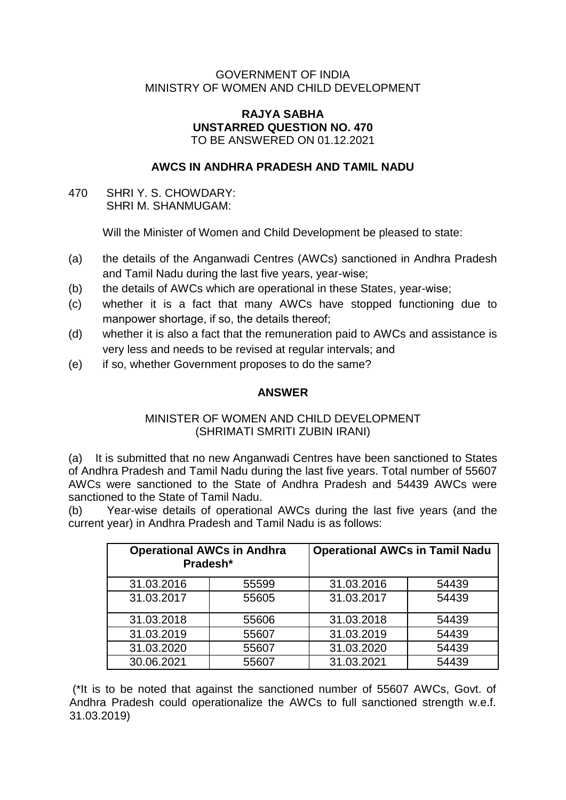### GOVERNMENT OF INDIA MINISTRY OF WOMEN AND CHILD DEVELOPMENT

#### **RAJYA SABHA UNSTARRED QUESTION NO. 470** TO BE ANSWERED ON 01.12.2021

# **AWCS IN ANDHRA PRADESH AND TAMIL NADU**

470 SHRI Y. S. CHOWDARY: SHRI M. SHANMUGAM:

Will the Minister of Women and Child Development be pleased to state:

- (a) the details of the Anganwadi Centres (AWCs) sanctioned in Andhra Pradesh and Tamil Nadu during the last five years, year-wise;
- (b) the details of AWCs which are operational in these States, year-wise;
- (c) whether it is a fact that many AWCs have stopped functioning due to manpower shortage, if so, the details thereof;
- (d) whether it is also a fact that the remuneration paid to AWCs and assistance is very less and needs to be revised at regular intervals; and
- (e) if so, whether Government proposes to do the same?

## **ANSWER**

## MINISTER OF WOMEN AND CHILD DEVELOPMENT (SHRIMATI SMRITI ZUBIN IRANI)

(a) It is submitted that no new Anganwadi Centres have been sanctioned to States of Andhra Pradesh and Tamil Nadu during the last five years. Total number of 55607 AWCs were sanctioned to the State of Andhra Pradesh and 54439 AWCs were sanctioned to the State of Tamil Nadu.

(b) Year-wise details of operational AWCs during the last five years (and the current year) in Andhra Pradesh and Tamil Nadu is as follows:

| <b>Operational AWCs in Andhra</b><br>Pradesh* |       | <b>Operational AWCs in Tamil Nadu</b> |       |
|-----------------------------------------------|-------|---------------------------------------|-------|
| 31.03.2016                                    | 55599 | 31.03.2016                            | 54439 |
| 31.03.2017                                    | 55605 | 31.03.2017                            | 54439 |
| 31.03.2018                                    | 55606 | 31.03.2018                            | 54439 |
| 31.03.2019                                    | 55607 | 31.03.2019                            | 54439 |
| 31.03.2020                                    | 55607 | 31.03.2020                            | 54439 |
| 30.06.2021                                    | 55607 | 31.03.2021                            | 54439 |

(\*It is to be noted that against the sanctioned number of 55607 AWCs, Govt. of Andhra Pradesh could operationalize the AWCs to full sanctioned strength w.e.f. 31.03.2019)